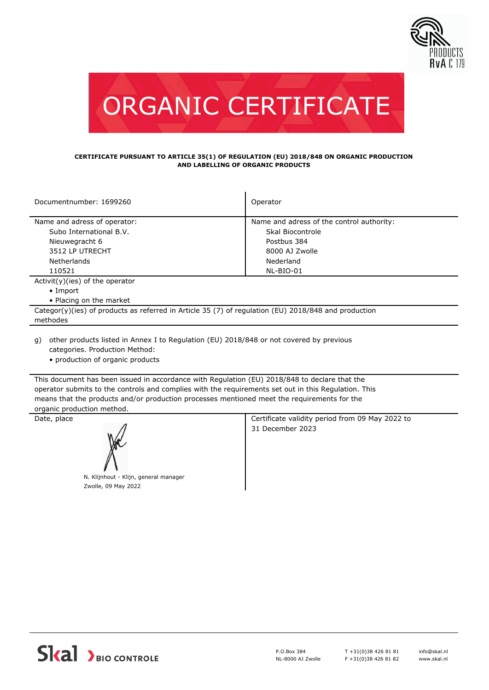



## **CERTIFICATE PURSUANT TO ARTICLE 35(1) OF REGULATION (EU) 2018/848 ON ORGANIC PRODUCTION AND LABELLING OF ORGANIC PRODUCTS**

| Documentnumber: 1699260                                                                              | Operator                                  |  |
|------------------------------------------------------------------------------------------------------|-------------------------------------------|--|
|                                                                                                      |                                           |  |
| Name and adress of operator:                                                                         | Name and adress of the control authority: |  |
| Subo International B.V.                                                                              | Skal Biocontrole                          |  |
| Nieuwegracht 6                                                                                       | Postbus 384                               |  |
| 3512 LP UTRECHT                                                                                      | 8000 AJ Zwolle                            |  |
| Netherlands                                                                                          | Nederland                                 |  |
| 110521                                                                                               | NL-BIO-01                                 |  |
| $Activity)(ies)$ of the operator                                                                     |                                           |  |
| $\bullet$ Import                                                                                     |                                           |  |
| • Placing on the market                                                                              |                                           |  |
| Categor(y)(ies) of products as referred in Article 35 (7) of regulation (EU) 2018/848 and production |                                           |  |
| methodes                                                                                             |                                           |  |
|                                                                                                      |                                           |  |

- other products listed in Annex I to Regulation (EU) 2018/848 or not covered by previous g) categories. Production Method:
	- production of organic products

This document has been issued in accordance with Regulation (EU) 2018/848 to declare that the operator submits to the controls and complies with the requirements set out in this Regulation. This means that the products and/or production processes mentioned meet the requirements for the organic production method.



N. Klijnhout - Klijn, general manager Zwolle, 09 May 2022

Date, place **Certificate validity period from 09 May 2022 to** 31 December 2023